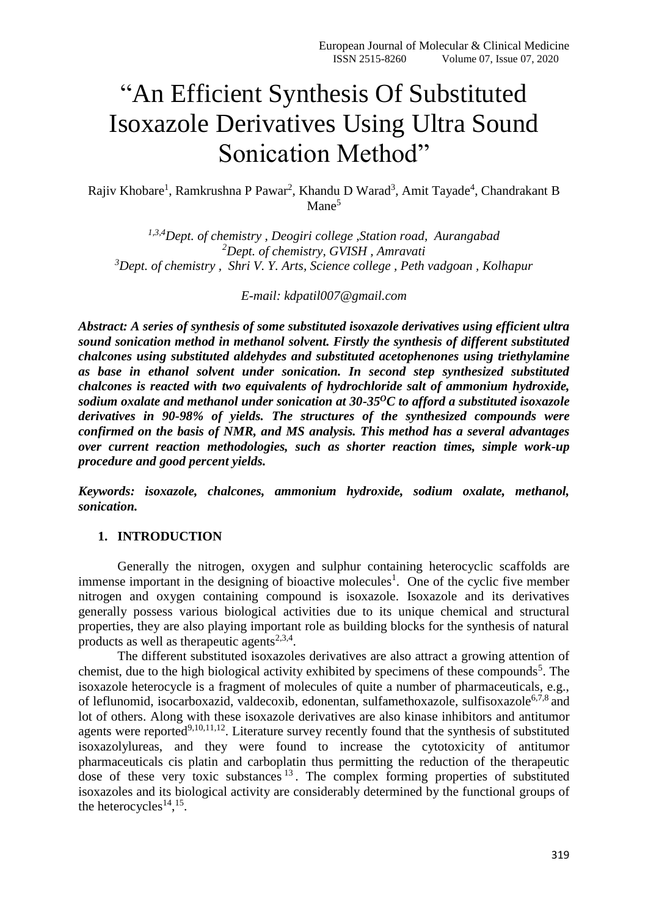# "An Efficient Synthesis Of Substituted Isoxazole Derivatives Using Ultra Sound Sonication Method"

Rajiv Khobare<sup>1</sup>, Ramkrushna P Pawar<sup>2</sup>, Khandu D Warad<sup>3</sup>, Amit Tayade<sup>4</sup>, Chandrakant B Mane<sup>5</sup>

*1,3,4Dept. of chemistry , Deogiri college ,Station road, Aurangabad <sup>2</sup>Dept. of chemistry, GVISH , Amravati <sup>3</sup>Dept. of chemistry , Shri V. Y. Arts, Science college , Peth vadgoan , Kolhapur*

*E-mail: [kdpatil007@gmail.com](mailto:kdpatil007@gmail.com)*

*Abstract: A series of synthesis of some substituted isoxazole derivatives using efficient ultra sound sonication method in methanol solvent. Firstly the synthesis of different substituted chalcones using substituted aldehydes and substituted acetophenones using triethylamine as base in ethanol solvent under sonication. In second step synthesized substituted chalcones is reacted with two equivalents of hydrochloride salt of ammonium hydroxide, sodium oxalate and methanol under sonication at 30-35<sup>O</sup>C to afford a substituted isoxazole derivatives in 90-98% of yields. The structures of the synthesized compounds were confirmed on the basis of NMR, and MS analysis. This method has a several advantages over current reaction methodologies, such as shorter reaction times, simple work-up procedure and good percent yields.*

*Keywords: isoxazole, chalcones, ammonium hydroxide, sodium oxalate, methanol, sonication.*

#### **1. INTRODUCTION**

Generally the nitrogen, oxygen and sulphur containing heterocyclic scaffolds are immense important in the designing of bioactive molecules<sup>1</sup>. One of the cyclic five member nitrogen and oxygen containing compound is isoxazole. Isoxazole and its derivatives generally possess various biological activities due to its unique chemical and structural properties, they are also playing important role as building blocks for the synthesis of natural products as well as the rapeutic agents<sup>2,3,4</sup>.

The different substituted isoxazoles derivatives are also attract a growing attention of chemist, due to the high biological activity exhibited by specimens of these compounds<sup>5</sup>. The isoxazole heterocycle is a fragment of molecules of quite a number of pharmaceuticals, e.g., of leflunomid, isocarboxazid, valdecoxib, edonentan, sulfamethoxazole, sulfisoxazole<sup>6,7,8</sup> and lot of others. Along with these isoxazole derivatives are also kinase inhibitors and antitumor agents were reported<sup>9,10,11,12</sup>. Literature survey recently found that the synthesis of substituted isoxazolylureas, and they were found to increase the cytotoxicity of antitumor pharmaceuticals cis platin and carboplatin thus permitting the reduction of the therapeutic dose of these very toxic substances  $13$ . The complex forming properties of substituted isoxazoles and its biological activity are considerably determined by the functional groups of the heterocycles<sup> $14, 15$ </sup>.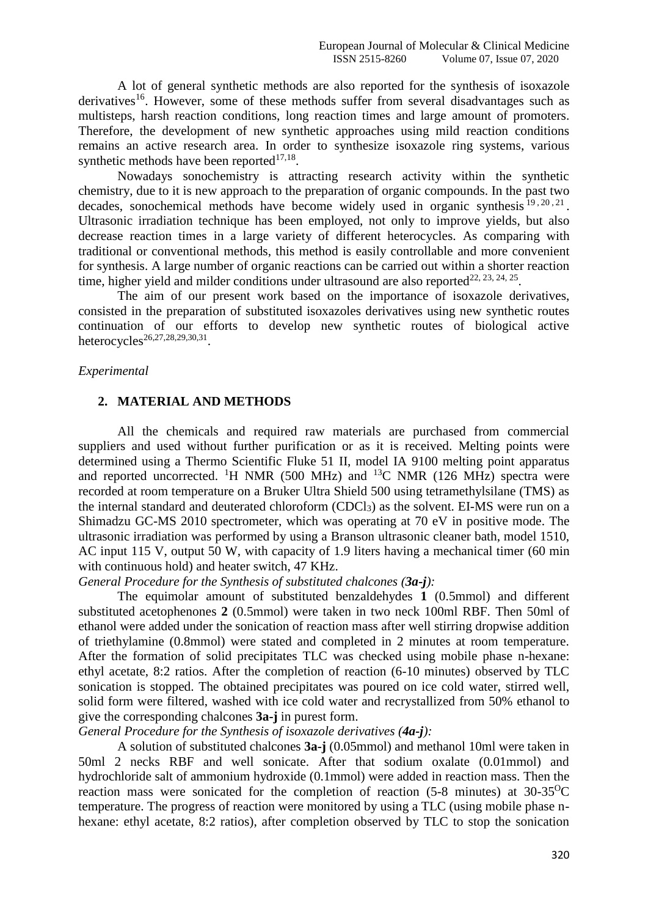A lot of general synthetic methods are also reported for the synthesis of isoxazole derivatives<sup>16</sup>. However, some of these methods suffer from several disadvantages such as multisteps, harsh reaction conditions, long reaction times and large amount of promoters. Therefore, the development of new synthetic approaches using mild reaction conditions remains an active research area. In order to synthesize isoxazole ring systems, various synthetic methods have been reported $17,18$ .

Nowadays sonochemistry is attracting research activity within the synthetic chemistry, due to it is new approach to the preparation of organic compounds. In the past two decades, sonochemical methods have become widely used in organic synthesis  $19, 20, 21$ . Ultrasonic irradiation technique has been employed, not only to improve yields, but also decrease reaction times in a large variety of different heterocycles. As comparing with traditional or conventional methods, this method is easily controllable and more convenient for synthesis. A large number of organic reactions can be carried out within a shorter reaction time, higher yield and milder conditions under ultrasound are also reported<sup>22, 23, 24, 25</sup>.

The aim of our present work based on the importance of isoxazole derivatives, consisted in the preparation of substituted isoxazoles derivatives using new synthetic routes continuation of our efforts to develop new synthetic routes of biological active heterocycles<sup>26,27,28,29,30,31</sup>.

#### *Experimental*

#### **2. MATERIAL AND METHODS**

All the chemicals and required raw materials are purchased from commercial suppliers and used without further purification or as it is received. Melting points were determined using a Thermo Scientific Fluke 51 II, model IA 9100 melting point apparatus and reported uncorrected. <sup>1</sup>H NMR (500 MHz) and <sup>13</sup>C NMR (126 MHz) spectra were recorded at room temperature on a Bruker Ultra Shield 500 using tetramethylsilane (TMS) as the internal standard and deuterated chloroform (CDCl3) as the solvent. EI-MS were run on a Shimadzu GC-MS 2010 spectrometer, which was operating at 70 eV in positive mode. The ultrasonic irradiation was performed by using a Branson ultrasonic cleaner bath, model 1510, AC input 115 V, output 50 W, with capacity of 1.9 liters having a mechanical timer (60 min with continuous hold) and heater switch, 47 KHz.

*General Procedure for the Synthesis of substituted chalcones (3a-j):*

The equimolar amount of substituted benzaldehydes **1** (0.5mmol) and different substituted acetophenones **2** (0.5mmol) were taken in two neck 100ml RBF. Then 50ml of ethanol were added under the sonication of reaction mass after well stirring dropwise addition of triethylamine (0.8mmol) were stated and completed in 2 minutes at room temperature. After the formation of solid precipitates TLC was checked using mobile phase n-hexane: ethyl acetate, 8:2 ratios. After the completion of reaction (6-10 minutes) observed by TLC sonication is stopped. The obtained precipitates was poured on ice cold water, stirred well, solid form were filtered, washed with ice cold water and recrystallized from 50% ethanol to give the corresponding chalcones **3a-j** in purest form.

### *General Procedure for the Synthesis of isoxazole derivatives (4a-j):*

A solution of substituted chalcones **3a-j** (0.05mmol) and methanol 10ml were taken in 50ml 2 necks RBF and well sonicate. After that sodium oxalate (0.01mmol) and hydrochloride salt of ammonium hydroxide (0.1mmol) were added in reaction mass. Then the reaction mass were sonicated for the completion of reaction  $(5-8 \text{ minutes})$  at  $30-35^{\circ}\text{C}$ temperature. The progress of reaction were monitored by using a TLC (using mobile phase nhexane: ethyl acetate, 8:2 ratios), after completion observed by TLC to stop the sonication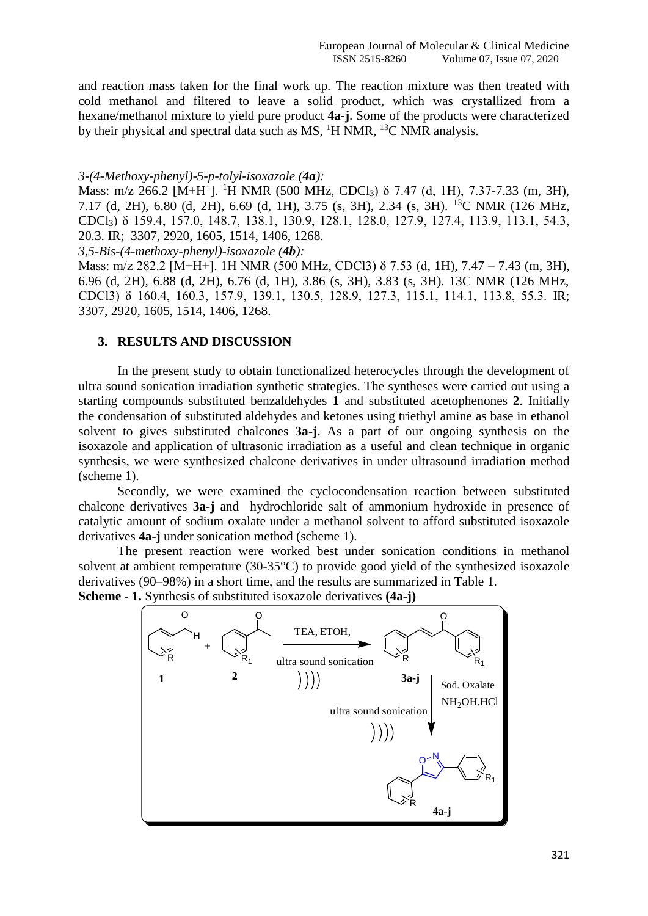and reaction mass taken for the final work up. The reaction mixture was then treated with cold methanol and filtered to leave a solid product, which was crystallized from a hexane/methanol mixture to yield pure product **4a-j**. Some of the products were characterized by their physical and spectral data such as  $MS$ ,  $^{1}H NMR$ ,  $^{13}C NMR$  analysis.

#### *3-(4-Methoxy-phenyl)-5-p-tolyl-isoxazole (4a):*

Mass: m/z 266.2 [M+H<sup>+</sup>]. <sup>1</sup>H NMR (500 MHz, CDCl<sub>3</sub>) δ 7.47 (d, 1H), 7.37-7.33 (m, 3H), 7.17 (d, 2H), 6.80 (d, 2H), 6.69 (d, 1H), 3.75 (s, 3H), 2.34 (s, 3H). <sup>13</sup>C NMR (126 MHz, CDCl3) δ 159.4, 157.0, 148.7, 138.1, 130.9, 128.1, 128.0, 127.9, 127.4, 113.9, 113.1, 54.3, 20.3. IR; 3307, 2920, 1605, 1514, 1406, 1268.

*3,5-Bis-(4-methoxy-phenyl)-isoxazole (4b):* 

Mass: m/z 282.2 [M+H+]. 1H NMR (500 MHz, CDCl3) δ 7.53 (d, 1H), 7.47 – 7.43 (m, 3H), 6.96 (d, 2H), 6.88 (d, 2H), 6.76 (d, 1H), 3.86 (s, 3H), 3.83 (s, 3H). 13C NMR (126 MHz, CDCl3) δ 160.4, 160.3, 157.9, 139.1, 130.5, 128.9, 127.3, 115.1, 114.1, 113.8, 55.3. IR; 3307, 2920, 1605, 1514, 1406, 1268.

#### **3. RESULTS AND DISCUSSION**

In the present study to obtain functionalized heterocycles through the development of ultra sound sonication irradiation synthetic strategies. The syntheses were carried out using a starting compounds substituted benzaldehydes **1** and substituted acetophenones **2**. Initially the condensation of substituted aldehydes and ketones using triethyl amine as base in ethanol solvent to gives substituted chalcones **3a-j.** As a part of our ongoing synthesis on the isoxazole and application of ultrasonic irradiation as a useful and clean technique in organic synthesis, we were synthesized chalcone derivatives in under ultrasound irradiation method (scheme 1).

Secondly, we were examined the cyclocondensation reaction between substituted chalcone derivatives **3a-j** and hydrochloride salt of ammonium hydroxide in presence of catalytic amount of sodium oxalate under a methanol solvent to afford substituted isoxazole derivatives **4a-j** under sonication method (scheme 1).

The present reaction were worked best under sonication conditions in methanol solvent at ambient temperature (30-35°C) to provide good yield of the synthesized isoxazole derivatives (90–98%) in a short time, and the results are summarized in Table 1.

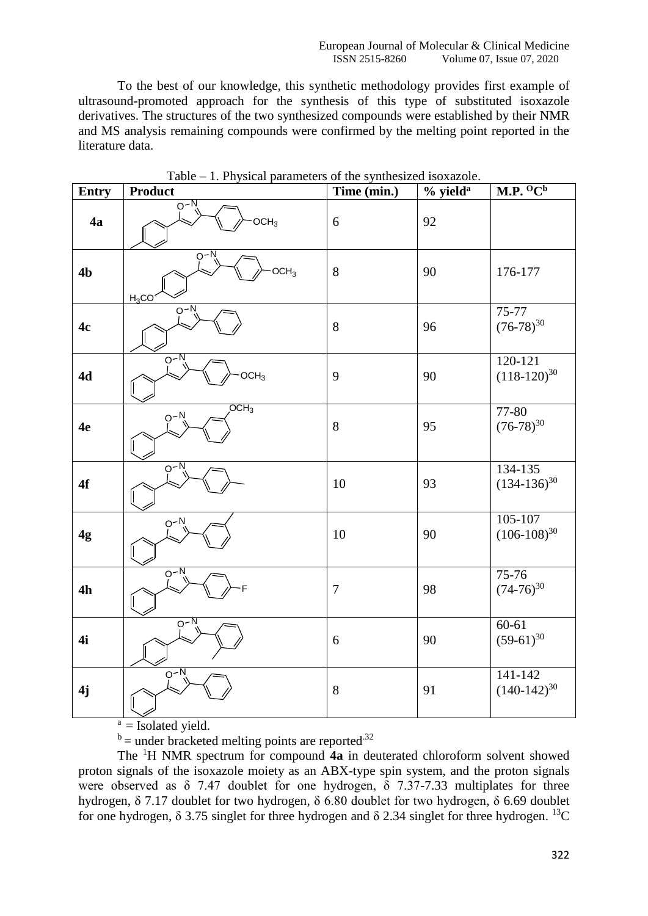To the best of our knowledge, this synthetic methodology provides first example of ultrasound-promoted approach for the synthesis of this type of substituted isoxazole derivatives. The structures of the two synthesized compounds were established by their NMR and MS analysis remaining compounds were confirmed by the melting point reported in the literature data.

| <b>Entry</b>   | <b>Product</b>                                  | Time (min.)    | $%$ yield <sup>a</sup> | M.P. O C <sup>b</sup>           |
|----------------|-------------------------------------------------|----------------|------------------------|---------------------------------|
| 4a             | $0 - N$<br>OCH <sub>3</sub>                     | 6              | 92                     |                                 |
| 4 <sub>b</sub> | $\overline{Q-N}$<br>OCH <sub>3</sub><br>$H_3CO$ | 8              | 90                     | 176-177                         |
| 4c             | $O - N$                                         | $8\,$          | 96                     | 75-77<br>$(76-78)^{30}$         |
| 4d             | $O-N$<br>OCH <sub>3</sub>                       | 9              | 90                     | $120 - 121$<br>$(118-120)^{30}$ |
| 4e             | $\overline{OCH_3}$<br>$O-N$                     | 8              | 95                     | 77-80<br>$(76-78)^{30}$         |
| 4f             | $Q-N$                                           | 10             | 93                     | $134 - 135$<br>$(134-136)^{30}$ |
| 4g             | $O-N$                                           | 10             | 90                     | 105-107<br>$(106-108)^{30}$     |
| 4h             | $0^{-N}$                                        | $\overline{7}$ | 98                     | 75-76<br>$(74-76)^{30}$         |
| 4i             | $0^{-N}$                                        | 6              | 90                     | $60-61$<br>$(59-61)^{30}$       |
| 4j             | $O-N$                                           | $8\,$          | 91                     | 141-142<br>$(140-142)^{30}$     |

Table – 1. Physical parameters of the synthesized isoxazole.

 $a =$  Isolated yield.

 $b$  = under bracketed melting points are reported.<sup>32</sup>

The <sup>1</sup>H NMR spectrum for compound **4a** in deuterated chloroform solvent showed proton signals of the isoxazole moiety as an ABX-type spin system, and the proton signals were observed as  $\delta$  7.47 doublet for one hydrogen,  $\delta$  7.37-7.33 multiplates for three hydrogen, δ 7.17 doublet for two hydrogen, δ 6.80 doublet for two hydrogen, δ 6.69 doublet for one hydrogen,  $\delta$  3.75 singlet for three hydrogen and  $\delta$  2.34 singlet for three hydrogen. <sup>13</sup>C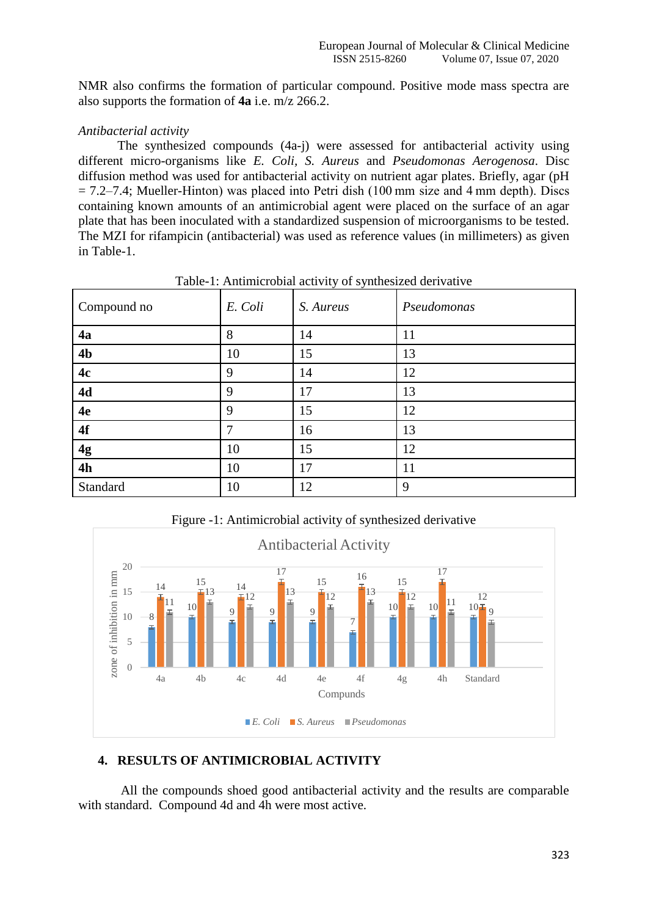NMR also confirms the formation of particular compound. Positive mode mass spectra are also supports the formation of **4a** i.e. m/z 266.2.

#### *Antibacterial activity*

The synthesized compounds (4a-j) were assessed for antibacterial activity using different micro-organisms like *E. Coli, S. Aureus* and *Pseudomonas Aerogenosa*. Disc diffusion method was used for antibacterial activity on nutrient agar plates. Briefly, agar (pH  $= 7.2 - 7.4$ ; Mueller-Hinton) was placed into Petri dish (100 mm size and 4 mm depth). Discs containing known amounts of an antimicrobial agent were placed on the surface of an agar plate that has been inoculated with a standardized suspension of microorganisms to be tested. The MZI for rifampicin (antibacterial) was used as reference values (in millimeters) as given in Table-1.

| Compound no    | E. Coli | S. Aureus | Pseudomonas |
|----------------|---------|-----------|-------------|
| 4a             | 8       | 14        | 11          |
| 4 <sub>b</sub> | 10      | 15        | 13          |
| 4c             | 9       | 14        | 12          |
| 4d             | 9       | 17        | 13          |
| 4e             | 9       | 15        | 12          |
| 4f             | 7       | 16        | 13          |
| 4g             | 10      | 15        | 12          |
| 4h             | 10      | 17        | 11          |
| Standard       | 10      | 12        | 9           |

Table-1: Antimicrobial activity of synthesized derivative





## **4. RESULTS OF ANTIMICROBIAL ACTIVITY**

All the compounds shoed good antibacterial activity and the results are comparable with standard. Compound 4d and 4h were most active.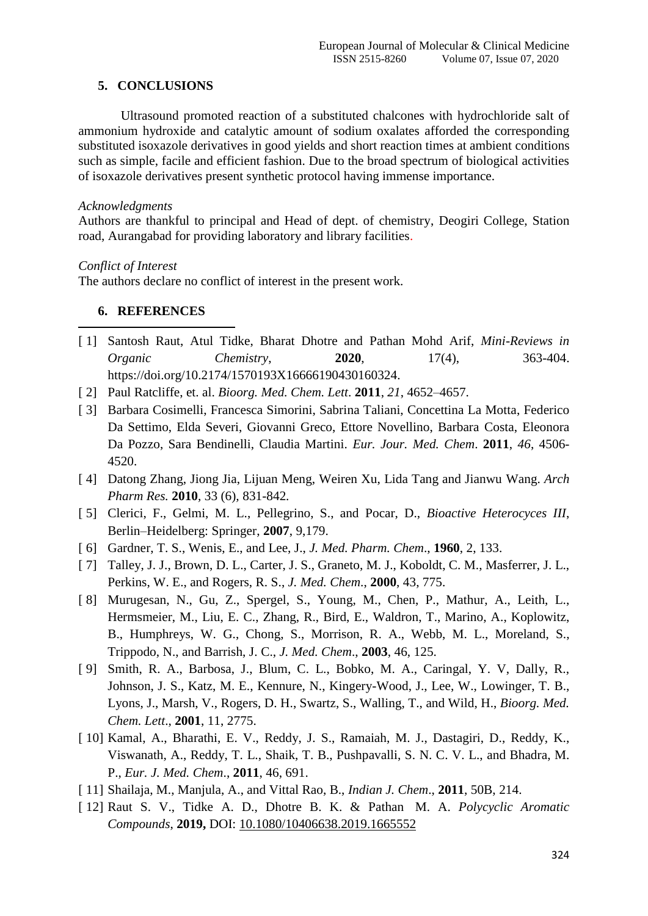## **5. CONCLUSIONS**

Ultrasound promoted reaction of a substituted chalcones with hydrochloride salt of ammonium hydroxide and catalytic amount of sodium oxalates afforded the corresponding substituted isoxazole derivatives in good yields and short reaction times at ambient conditions such as simple, facile and efficient fashion. Due to the broad spectrum of biological activities of isoxazole derivatives present synthetic protocol having immense importance.

## *Acknowledgments*

Authors are thankful to principal and Head of dept. of chemistry, Deogiri College, Station road, Aurangabad for providing laboratory and library facilities.

## *Conflict of Interest*

The authors declare no conflict of interest in the present work.

# **6. REFERENCES**

- 1 [ 1] Santosh Raut, Atul Tidke, Bharat Dhotre and Pathan Mohd Arif, *Mini-Reviews in Organic Chemistry*, **2020**, 17(4), 363-404. https://doi.org/10.2174/1570193X16666190430160324.
- [ 2] Paul Ratcliffe, et. al. *Bioorg. Med. Chem. Lett*. **2011**, *21*, 4652–4657.
- [ 3] Barbara Cosimelli, Francesca Simorini, Sabrina Taliani, Concettina La Motta, Federico Da Settimo, Elda Severi, Giovanni Greco, Ettore Novellino, Barbara Costa, Eleonora Da Pozzo, Sara Bendinelli, Claudia Martini. *Eur. Jour. Med. Chem*. **2011**, *46*, 4506- 4520.
- [ 4] Datong Zhang, Jiong Jia, Lijuan Meng, Weiren Xu, Lida Tang and Jianwu Wang. *Arch Pharm Res.* **2010***,* 33 (6)*,* 831-842*.*
- [ 5] Clerici, F., Gelmi, M. L., Pellegrino, S., and Pocar, D., *Bioactive Heterocyces III*, Berlin–Heidelberg: Springer, **2007**, 9,179.
- [ 6] Gardner, T. S., Wenis, E., and Lee, J., *J. Med. Pharm. Chem*., **1960**, 2, 133.
- [ 7] Talley, J. J., Brown, D. L., Carter, J. S., Graneto, M. J., Koboldt, C. M., Masferrer, J. L., Perkins, W. E., and Rogers, R. S., *J. Med. Chem*., **2000**, 43, 775.
- [ 8] Murugesan, N., Gu, Z., Spergel, S., Young, M., Chen, P., Mathur, A., Leith, L., Hermsmeier, M., Liu, E. C., Zhang, R., Bird, E., Waldron, T., Marino, A., Koplowitz, B., Humphreys, W. G., Chong, S., Morrison, R. A., Webb, M. L., Moreland, S., Trippodo, N., and Barrish, J. C., *J. Med. Chem*., **2003**, 46, 125.
- [ 9] Smith, R. A., Barbosa, J., Blum, C. L., Bobko, M. A., Caringal, Y. V, Dally, R., Johnson, J. S., Katz, M. E., Kennure, N., Kingery-Wood, J., Lee, W., Lowinger, T. B., Lyons, J., Marsh, V., Rogers, D. H., Swartz, S., Walling, T., and Wild, H., *Bioorg. Med. Chem. Lett*., **2001**, 11, 2775.
- [ 10] Kamal, A., Bharathi, E. V., Reddy, J. S., Ramaiah, M. J., Dastagiri, D., Reddy, K., Viswanath, A., Reddy, T. L., Shaik, T. B., Pushpavalli, S. N. C. V. L., and Bhadra, M. P., *Eur. J. Med. Chem*., **2011**, 46, 691.
- [ 11] Shailaja, M., Manjula, A., and Vittal Rao, B., *Indian J. Chem*., **2011**, 50B, 214.
- [ 12] Raut S. V., Tidke A. D., Dhotre B. K. & Pathan M. A. *Polycyclic Aromatic Compounds*, **2019,** DOI: [10.1080/10406638.2019.1665552](https://doi.org/10.1080/10406638.2019.1665552)